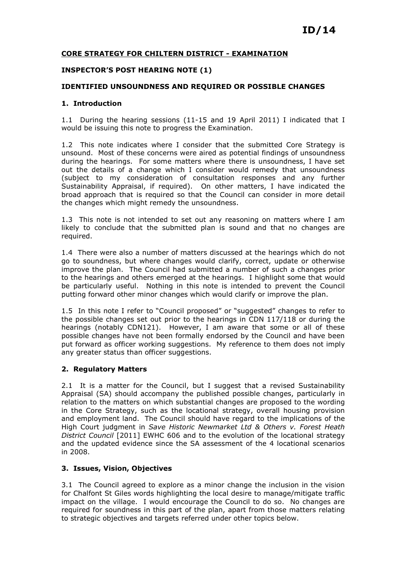### CORE STRATEGY FOR CHILTERN DISTRICT - EXAMINATION

#### INSPECTOR'S POST HEARING NOTE (1)

#### IDENTIFIED UNSOUNDNESS AND REQUIRED OR POSSIBLE CHANGES

#### 1. Introduction

1.1 During the hearing sessions (11-15 and 19 April 2011) I indicated that I would be issuing this note to progress the Examination.

1.2 This note indicates where I consider that the submitted Core Strategy is unsound. Most of these concerns were aired as potential findings of unsoundness during the hearings. For some matters where there is unsoundness, I have set out the details of a change which I consider would remedy that unsoundness (subject to my consideration of consultation responses and any further Sustainability Appraisal, if required). On other matters, I have indicated the broad approach that is required so that the Council can consider in more detail the changes which might remedy the unsoundness.

1.3 This note is not intended to set out any reasoning on matters where I am likely to conclude that the submitted plan is sound and that no changes are required.

1.4 There were also a number of matters discussed at the hearings which do not go to soundness, but where changes would clarify, correct, update or otherwise improve the plan. The Council had submitted a number of such a changes prior to the hearings and others emerged at the hearings. I highlight some that would be particularly useful. Nothing in this note is intended to prevent the Council putting forward other minor changes which would clarify or improve the plan.

1.5 In this note I refer to "Council proposed" or "suggested" changes to refer to the possible changes set out prior to the hearings in CDN 117/118 or during the hearings (notably CDN121). However, I am aware that some or all of these possible changes have not been formally endorsed by the Council and have been put forward as officer working suggestions. My reference to them does not imply any greater status than officer suggestions.

### 2. Regulatory Matters

2.1 It is a matter for the Council, but I suggest that a revised Sustainability Appraisal (SA) should accompany the published possible changes, particularly in relation to the matters on which substantial changes are proposed to the wording in the Core Strategy, such as the locational strategy, overall housing provision and employment land. The Council should have regard to the implications of the High Court judgment in Save Historic Newmarket Ltd & Others v. Forest Heath District Council [2011] EWHC 606 and to the evolution of the locational strategy and the updated evidence since the SA assessment of the 4 locational scenarios in 2008.

### 3. Issues, Vision, Objectives

3.1 The Council agreed to explore as a minor change the inclusion in the vision for Chalfont St Giles words highlighting the local desire to manage/mitigate traffic impact on the village. I would encourage the Council to do so. No changes are required for soundness in this part of the plan, apart from those matters relating to strategic objectives and targets referred under other topics below.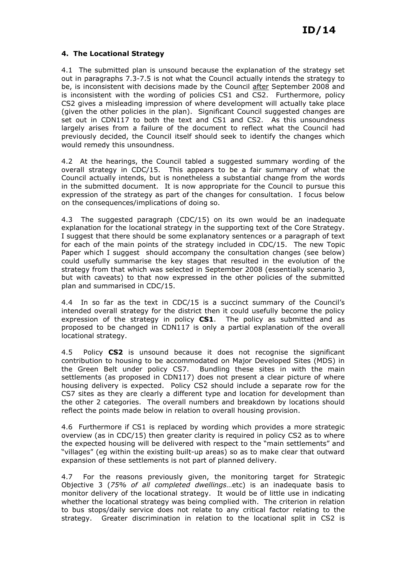### 4. The Locational Strategy

4.1 The submitted plan is unsound because the explanation of the strategy set out in paragraphs 7.3-7.5 is not what the Council actually intends the strategy to be, is inconsistent with decisions made by the Council after September 2008 and is inconsistent with the wording of policies CS1 and CS2. Furthermore, policy CS2 gives a misleading impression of where development will actually take place (given the other policies in the plan). Significant Council suggested changes are set out in CDN117 to both the text and CS1 and CS2. As this unsoundness largely arises from a failure of the document to reflect what the Council had previously decided, the Council itself should seek to identify the changes which would remedy this unsoundness.

4.2 At the hearings, the Council tabled a suggested summary wording of the overall strategy in CDC/15. This appears to be a fair summary of what the Council actually intends, but is nonetheless a substantial change from the words in the submitted document. It is now appropriate for the Council to pursue this expression of the strategy as part of the changes for consultation. I focus below on the consequences/implications of doing so.

4.3 The suggested paragraph (CDC/15) on its own would be an inadequate explanation for the locational strategy in the supporting text of the Core Strategy. I suggest that there should be some explanatory sentences or a paragraph of text for each of the main points of the strategy included in CDC/15. The new Topic Paper which I suggest should accompany the consultation changes (see below) could usefully summarise the key stages that resulted in the evolution of the strategy from that which was selected in September 2008 (essentially scenario 3, but with caveats) to that now expressed in the other policies of the submitted plan and summarised in CDC/15.

4.4 In so far as the text in CDC/15 is a succinct summary of the Council's intended overall strategy for the district then it could usefully become the policy expression of the strategy in policy CS1. The policy as submitted and as proposed to be changed in CDN117 is only a partial explanation of the overall locational strategy.

4.5 Policy CS2 is unsound because it does not recognise the significant contribution to housing to be accommodated on Major Developed Sites (MDS) in the Green Belt under policy CS7. Bundling these sites in with the main settlements (as proposed in CDN117) does not present a clear picture of where housing delivery is expected. Policy CS2 should include a separate row for the CS7 sites as they are clearly a different type and location for development than the other 2 categories. The overall numbers and breakdown by locations should reflect the points made below in relation to overall housing provision.

4.6 Furthermore if CS1 is replaced by wording which provides a more strategic overview (as in CDC/15) then greater clarity is required in policy CS2 as to where the expected housing will be delivered with respect to the "main settlements" and "villages" (eg within the existing built-up areas) so as to make clear that outward expansion of these settlements is not part of planned delivery.

4.7 For the reasons previously given, the monitoring target for Strategic Objective 3 (75% of all completed dwellings…etc) is an inadequate basis to monitor delivery of the locational strategy. It would be of little use in indicating whether the locational strategy was being complied with. The criterion in relation to bus stops/daily service does not relate to any critical factor relating to the strategy. Greater discrimination in relation to the locational split in CS2 is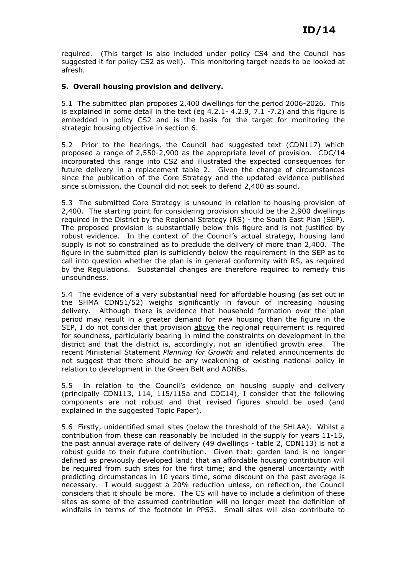required. (This target is also included under policy CS4 and the Council has suggested it for policy CS2 as well). This monitoring target needs to be looked at afresh.

### 5. Overall housing provision and delivery.

5.1 The submitted plan proposes 2,400 dwellings for the period 2006-2026. This is explained in some detail in the text (eg  $4.2.1 - 4.2.9$ ,  $7.1 - 7.2$ ) and this figure is embedded in policy CS2 and is the basis for the target for monitoring the strategic housing objective in section 6.

5.2 Prior to the hearings, the Council had suggested text (CDN117) which proposed a range of 2,550-2,900 as the appropriate level of provision. CDC/14 incorporated this range into CS2 and illustrated the expected consequences for future delivery in a replacement table 2. Given the change of circumstances since the publication of the Core Strategy and the updated evidence published since submission, the Council did not seek to defend 2,400 as sound.

5.3 The submitted Core Strategy is unsound in relation to housing provision of 2,400. The starting point for considering provision should be the 2,900 dwellings required in the District by the Regional Strategy (RS) - the South East Plan (SEP). The proposed provision is substantially below this figure and is not justified by robust evidence. In the context of the Council's actual strategy, housing land supply is not so constrained as to preclude the delivery of more than 2,400. The figure in the submitted plan is sufficiently below the requirement in the SEP as to call into question whether the plan is in general conformity with RS, as required by the Regulations. Substantial changes are therefore required to remedy this unsoundness.

5.4 The evidence of a very substantial need for affordable housing (as set out in the SHMA CDN51/52) weighs significantly in favour of increasing housing delivery. Although there is evidence that household formation over the plan period may result in a greater demand for new housing than the figure in the SEP, I do not consider that provision above the regional requirement is required for soundness, particularly bearing in mind the constraints on development in the district and that the district is, accordingly, not an identified growth area. The recent Ministerial Statement Planning for Growth and related announcements do not suggest that there should be any weakening of existing national policy in relation to development in the Green Belt and AONBs.

5.5 In relation to the Council's evidence on housing supply and delivery (principally CDN113, 114, 115/115a and CDC14), I consider that the following components are not robust and that revised figures should be used (and explained in the suggested Topic Paper).

5.6 Firstly, unidentified small sites (below the threshold of the SHLAA). Whilst a contribution from these can reasonably be included in the supply for years 11-15, the past annual average rate of delivery (49 dwellings - table 2, CDN113) is not a robust guide to their future contribution. Given that: garden land is no longer defined as previously developed land; that an affordable housing contribution will be required from such sites for the first time; and the general uncertainty with predicting circumstances in 10 years time, some discount on the past average is necessary. I would suggest a 20% reduction unless, on reflection, the Council considers that it should be more. The CS will have to include a definition of these sites as some of the assumed contribution will no longer meet the definition of windfalls in terms of the footnote in PPS3. Small sites will also contribute to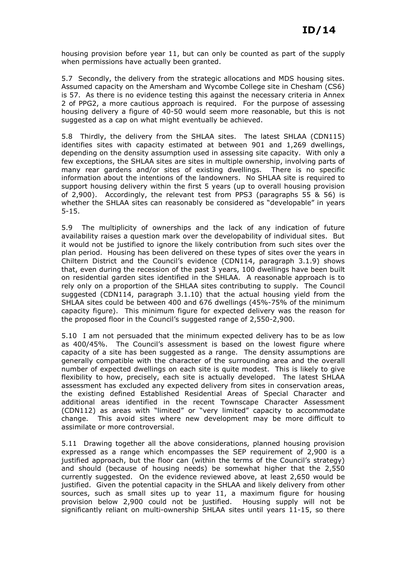housing provision before year 11, but can only be counted as part of the supply when permissions have actually been granted.

5.7 Secondly, the delivery from the strategic allocations and MDS housing sites. Assumed capacity on the Amersham and Wycombe College site in Chesham (CS6) is 57. As there is no evidence testing this against the necessary criteria in Annex 2 of PPG2, a more cautious approach is required. For the purpose of assessing housing delivery a figure of 40-50 would seem more reasonable, but this is not suggested as a cap on what might eventually be achieved.

5.8 Thirdly, the delivery from the SHLAA sites. The latest SHLAA (CDN115) identifies sites with capacity estimated at between 901 and 1,269 dwellings, depending on the density assumption used in assessing site capacity. With only a few exceptions, the SHLAA sites are sites in multiple ownership, involving parts of many rear gardens and/or sites of existing dwellings. There is no specific information about the intentions of the landowners. No SHLAA site is required to support housing delivery within the first 5 years (up to overall housing provision of 2,900). Accordingly, the relevant test from PPS3 (paragraphs 55 & 56) is whether the SHLAA sites can reasonably be considered as "developable" in years 5-15.

5.9 The multiplicity of ownerships and the lack of any indication of future availability raises a question mark over the developability of individual sites. But it would not be justified to ignore the likely contribution from such sites over the plan period. Housing has been delivered on these types of sites over the years in Chiltern District and the Council's evidence (CDN114, paragraph 3.1.9) shows that, even during the recession of the past 3 years, 100 dwellings have been built on residential garden sites identified in the SHLAA. A reasonable approach is to rely only on a proportion of the SHLAA sites contributing to supply. The Council suggested (CDN114, paragraph 3.1.10) that the actual housing yield from the SHLAA sites could be between 400 and 676 dwellings (45%-75% of the minimum capacity figure). This minimum figure for expected delivery was the reason for the proposed floor in the Council's suggested range of 2,550-2,900.

5.10 I am not persuaded that the minimum expected delivery has to be as low as 400/45%. The Council's assessment is based on the lowest figure where capacity of a site has been suggested as a range. The density assumptions are generally compatible with the character of the surrounding area and the overall number of expected dwellings on each site is quite modest. This is likely to give flexibility to how, precisely, each site is actually developed. The latest SHLAA assessment has excluded any expected delivery from sites in conservation areas, the existing defined Established Residential Areas of Special Character and additional areas identified in the recent Townscape Character Assessment (CDN112) as areas with "limited" or "very limited" capacity to accommodate change. This avoid sites where new development may be more difficult to assimilate or more controversial.

5.11 Drawing together all the above considerations, planned housing provision expressed as a range which encompasses the SEP requirement of 2,900 is a justified approach, but the floor can (within the terms of the Council's strategy) and should (because of housing needs) be somewhat higher that the 2,550 currently suggested. On the evidence reviewed above, at least 2,650 would be justified. Given the potential capacity in the SHLAA and likely delivery from other sources, such as small sites up to year 11, a maximum figure for housing provision below 2,900 could not be justified. Housing supply will not be significantly reliant on multi-ownership SHLAA sites until years 11-15, so there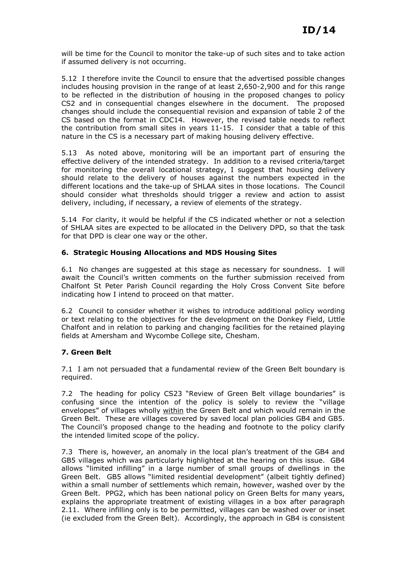will be time for the Council to monitor the take-up of such sites and to take action if assumed delivery is not occurring.

5.12 I therefore invite the Council to ensure that the advertised possible changes includes housing provision in the range of at least 2,650-2,900 and for this range to be reflected in the distribution of housing in the proposed changes to policy CS2 and in consequential changes elsewhere in the document. The proposed changes should include the consequential revision and expansion of table 2 of the CS based on the format in CDC14. However, the revised table needs to reflect the contribution from small sites in years 11-15. I consider that a table of this nature in the CS is a necessary part of making housing delivery effective.

As noted above, monitoring will be an important part of ensuring the effective delivery of the intended strategy. In addition to a revised criteria/target for monitoring the overall locational strategy, I suggest that housing delivery should relate to the delivery of houses against the numbers expected in the different locations and the take-up of SHLAA sites in those locations. The Council should consider what thresholds should trigger a review and action to assist delivery, including, if necessary, a review of elements of the strategy.

5.14 For clarity, it would be helpful if the CS indicated whether or not a selection of SHLAA sites are expected to be allocated in the Delivery DPD, so that the task for that DPD is clear one way or the other.

### 6. Strategic Housing Allocations and MDS Housing Sites

6.1 No changes are suggested at this stage as necessary for soundness. I will await the Council's written comments on the further submission received from Chalfont St Peter Parish Council regarding the Holy Cross Convent Site before indicating how I intend to proceed on that matter.

6.2 Council to consider whether it wishes to introduce additional policy wording or text relating to the objectives for the development on the Donkey Field, Little Chalfont and in relation to parking and changing facilities for the retained playing fields at Amersham and Wycombe College site, Chesham.

# 7. Green Belt

7.1 I am not persuaded that a fundamental review of the Green Belt boundary is required.

7.2 The heading for policy CS23 "Review of Green Belt village boundaries" is confusing since the intention of the policy is solely to review the "village envelopes" of villages wholly within the Green Belt and which would remain in the Green Belt. These are villages covered by saved local plan policies GB4 and GB5. The Council's proposed change to the heading and footnote to the policy clarify the intended limited scope of the policy.

7.3 There is, however, an anomaly in the local plan's treatment of the GB4 and GB5 villages which was particularly highlighted at the hearing on this issue. GB4 allows "limited infilling" in a large number of small groups of dwellings in the Green Belt. GB5 allows "limited residential development" (albeit tightly defined) within a small number of settlements which remain, however, washed over by the Green Belt. PPG2, which has been national policy on Green Belts for many years, explains the appropriate treatment of existing villages in a box after paragraph 2.11. Where infilling only is to be permitted, villages can be washed over or inset (ie excluded from the Green Belt). Accordingly, the approach in GB4 is consistent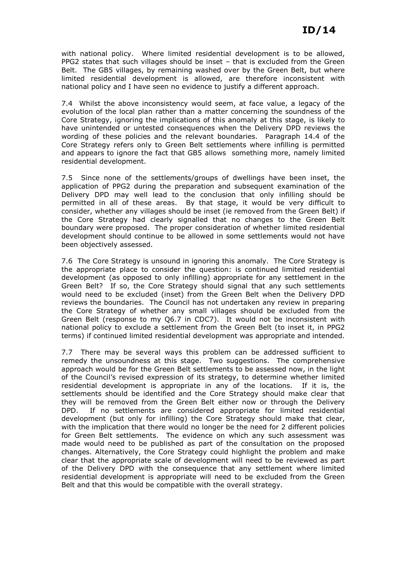with national policy. Where limited residential development is to be allowed, PPG2 states that such villages should be inset – that is excluded from the Green Belt. The GB5 villages, by remaining washed over by the Green Belt, but where limited residential development is allowed, are therefore inconsistent with national policy and I have seen no evidence to justify a different approach.

7.4 Whilst the above inconsistency would seem, at face value, a legacy of the evolution of the local plan rather than a matter concerning the soundness of the Core Strategy, ignoring the implications of this anomaly at this stage, is likely to have unintended or untested consequences when the Delivery DPD reviews the wording of these policies and the relevant boundaries. Paragraph 14.4 of the Core Strategy refers only to Green Belt settlements where infilling is permitted and appears to ignore the fact that GB5 allows something more, namely limited residential development.

7.5 Since none of the settlements/groups of dwellings have been inset, the application of PPG2 during the preparation and subsequent examination of the Delivery DPD may well lead to the conclusion that only infilling should be permitted in all of these areas. By that stage, it would be very difficult to consider, whether any villages should be inset (ie removed from the Green Belt) if the Core Strategy had clearly signalled that no changes to the Green Belt boundary were proposed. The proper consideration of whether limited residential development should continue to be allowed in some settlements would not have been objectively assessed.

7.6 The Core Strategy is unsound in ignoring this anomaly. The Core Strategy is the appropriate place to consider the question: is continued limited residential development (as opposed to only infilling) appropriate for any settlement in the Green Belt? If so, the Core Strategy should signal that any such settlements would need to be excluded (inset) from the Green Belt when the Delivery DPD reviews the boundaries. The Council has not undertaken any review in preparing the Core Strategy of whether any small villages should be excluded from the Green Belt (response to my Q6.7 in CDC7). It would not be inconsistent with national policy to exclude a settlement from the Green Belt (to inset it, in PPG2 terms) if continued limited residential development was appropriate and intended.

7.7 There may be several ways this problem can be addressed sufficient to remedy the unsoundness at this stage. Two suggestions. The comprehensive approach would be for the Green Belt settlements to be assessed now, in the light of the Council's revised expression of its strategy, to determine whether limited residential development is appropriate in any of the locations. If it is, the settlements should be identified and the Core Strategy should make clear that they will be removed from the Green Belt either now or through the Delivery DPD. If no settlements are considered appropriate for limited residential development (but only for infilling) the Core Strategy should make that clear, with the implication that there would no longer be the need for 2 different policies for Green Belt settlements. The evidence on which any such assessment was made would need to be published as part of the consultation on the proposed changes. Alternatively, the Core Strategy could highlight the problem and make clear that the appropriate scale of development will need to be reviewed as part of the Delivery DPD with the consequence that any settlement where limited residential development is appropriate will need to be excluded from the Green Belt and that this would be compatible with the overall strategy.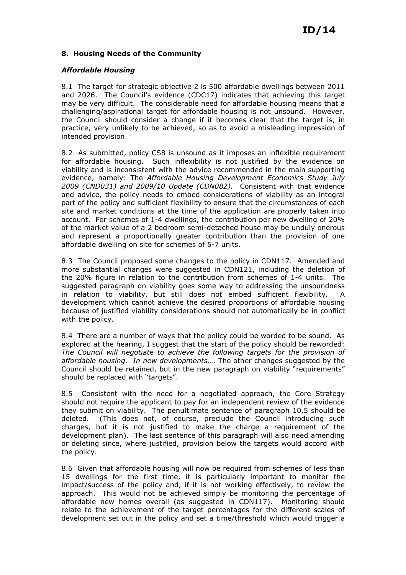### 8. Housing Needs of the Community

### Affordable Housing

8.1 The target for strategic objective 2 is 500 affordable dwellings between 2011 and 2026. The Council's evidence (CDC17) indicates that achieving this target may be very difficult. The considerable need for affordable housing means that a challenging/aspirational target for affordable housing is not unsound. However, the Council should consider a change if it becomes clear that the target is, in practice, very unlikely to be achieved, so as to avoid a misleading impression of intended provision.

8.2 As submitted, policy CS8 is unsound as it imposes an inflexible requirement for affordable housing. Such inflexibility is not justified by the evidence on viability and is inconsistent with the advice recommended in the main supporting evidence, namely: The Affordable Housing Development Economics Study July 2009 (CND031) and 2009/10 Update (CDN082). Consistent with that evidence and advice, the policy needs to embed considerations of viability as an integral part of the policy and sufficient flexibility to ensure that the circumstances of each site and market conditions at the time of the application are properly taken into account. For schemes of 1-4 dwellings, the contribution per new dwelling of 20% of the market value of a 2 bedroom semi-detached house may be unduly onerous and represent a proportionally greater contribution than the provision of one affordable dwelling on site for schemes of 5-7 units.

8.3 The Council proposed some changes to the policy in CDN117. Amended and more substantial changes were suggested in CDN121, including the deletion of the 20% figure in relation to the contribution from schemes of 1-4 units. The suggested paragraph on viability goes some way to addressing the unsoundness in relation to viability, but still does not embed sufficient flexibility. A development which cannot achieve the desired proportions of affordable housing because of justified viability considerations should not automatically be in conflict with the policy.

8.4 There are a number of ways that the policy could be worded to be sound. As explored at the hearing, I suggest that the start of the policy should be reworded: The Council will negotiate to achieve the following targets for the provision of affordable housing. In new developments…. The other changes suggested by the Council should be retained, but in the new paragraph on viability "requirements" should be replaced with "targets".

8.5 Consistent with the need for a negotiated approach, the Core Strategy should not require the applicant to pay for an independent review of the evidence they submit on viability. The penultimate sentence of paragraph 10.5 should be deleted. (This does not, of course, preclude the Council introducing such charges, but it is not justified to make the charge a requirement of the development plan). The last sentence of this paragraph will also need amending or deleting since, where justified, provision below the targets would accord with the policy.

8.6 Given that affordable housing will now be required from schemes of less than 15 dwellings for the first time, it is particularly important to monitor the impact/success of the policy and, if it is not working effectively, to review the approach. This would not be achieved simply be monitoring the percentage of affordable new homes overall (as suggested in CDN117). Monitoring should relate to the achievement of the target percentages for the different scales of development set out in the policy and set a time/threshold which would trigger a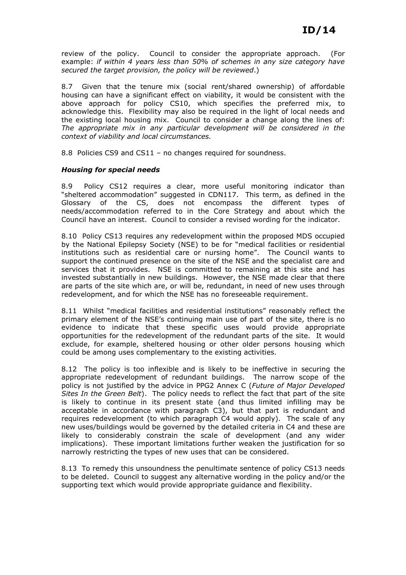review of the policy. Council to consider the appropriate approach. (For example: if within 4 years less than 50% of schemes in any size category have secured the target provision, the policy will be reviewed.)

8.7 Given that the tenure mix (social rent/shared ownership) of affordable housing can have a significant effect on viability, it would be consistent with the above approach for policy CS10, which specifies the preferred mix, to acknowledge this. Flexibility may also be required in the light of local needs and the existing local housing mix. Council to consider a change along the lines of: The appropriate mix in any particular development will be considered in the context of viability and local circumstances.

8.8 Policies CS9 and CS11 – no changes required for soundness.

### Housing for special needs

8.9 Policy CS12 requires a clear, more useful monitoring indicator than "sheltered accommodation" suggested in CDN117. This term, as defined in the Glossary of the CS, does not encompass the different types of needs/accommodation referred to in the Core Strategy and about which the Council have an interest. Council to consider a revised wording for the indicator.

8.10 Policy CS13 requires any redevelopment within the proposed MDS occupied by the National Epilepsy Society (NSE) to be for "medical facilities or residential institutions such as residential care or nursing home". The Council wants to support the continued presence on the site of the NSE and the specialist care and services that it provides. NSE is committed to remaining at this site and has invested substantially in new buildings. However, the NSE made clear that there are parts of the site which are, or will be, redundant, in need of new uses through redevelopment, and for which the NSE has no foreseeable requirement.

8.11 Whilst "medical facilities and residential institutions" reasonably reflect the primary element of the NSE's continuing main use of part of the site, there is no evidence to indicate that these specific uses would provide appropriate opportunities for the redevelopment of the redundant parts of the site. It would exclude, for example, sheltered housing or other older persons housing which could be among uses complementary to the existing activities.

8.12 The policy is too inflexible and is likely to be ineffective in securing the appropriate redevelopment of redundant buildings. The narrow scope of the policy is not justified by the advice in PPG2 Annex C (Future of Major Developed Sites In the Green Belt). The policy needs to reflect the fact that part of the site is likely to continue in its present state (and thus limited infilling may be acceptable in accordance with paragraph C3), but that part is redundant and requires redevelopment (to which paragraph C4 would apply). The scale of any new uses/buildings would be governed by the detailed criteria in C4 and these are likely to considerably constrain the scale of development (and any wider implications). These important limitations further weaken the justification for so narrowly restricting the types of new uses that can be considered.

8.13 To remedy this unsoundness the penultimate sentence of policy CS13 needs to be deleted. Council to suggest any alternative wording in the policy and/or the supporting text which would provide appropriate guidance and flexibility.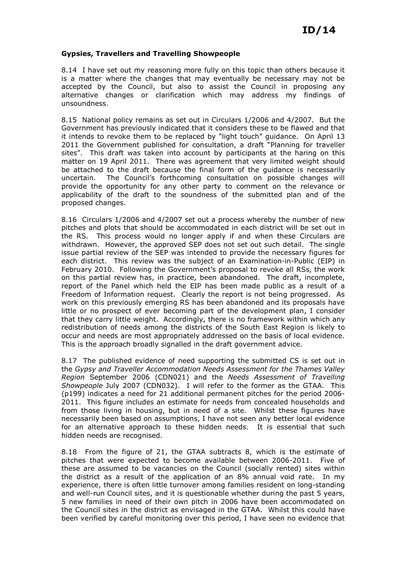#### Gypsies, Travellers and Travelling Showpeople

8.14 I have set out my reasoning more fully on this topic than others because it is a matter where the changes that may eventually be necessary may not be accepted by the Council, but also to assist the Council in proposing any alternative changes or clarification which may address my findings of unsoundness.

8.15 National policy remains as set out in Circulars 1/2006 and 4/2007. But the Government has previously indicated that it considers these to be flawed and that it intends to revoke them to be replaced by "light touch" guidance. On April 13 2011 the Government published for consultation, a draft "Planning for traveller sites". This draft was taken into account by participants at the haring on this matter on 19 April 2011. There was agreement that very limited weight should be attached to the draft because the final form of the guidance is necessarily uncertain. The Council's forthcoming consultation on possible changes will provide the opportunity for any other party to comment on the relevance or applicability of the draft to the soundness of the submitted plan and of the proposed changes.

8.16 Circulars 1/2006 and 4/2007 set out a process whereby the number of new pitches and plots that should be accommodated in each district will be set out in the RS. This process would no longer apply if and when these Circulars are withdrawn. However, the approved SEP does not set out such detail. The single issue partial review of the SEP was intended to provide the necessary figures for each district. This review was the subject of an Examination-in-Public (EIP) in February 2010. Following the Government's proposal to revoke all RSs, the work on this partial review has, in practice, been abandoned. The draft, incomplete, report of the Panel which held the EIP has been made public as a result of a Freedom of Information request. Clearly the report is not being progressed. As work on this previously emerging RS has been abandoned and its proposals have little or no prospect of ever becoming part of the development plan, I consider that they carry little weight. Accordingly, there is no framework within which any redistribution of needs among the districts of the South East Region is likely to occur and needs are most appropriately addressed on the basis of local evidence. This is the approach broadly signalled in the draft government advice.

8.17 The published evidence of need supporting the submitted CS is set out in the Gypsy and Traveller Accommodation Needs Assessment for the Thames Valley Region September 2006 (CDN021) and the Needs Assessment of Travelling Showpeople July 2007 (CDN032). I will refer to the former as the GTAA. This (p199) indicates a need for 21 additional permanent pitches for the period 2006- 2011. This figure includes an estimate for needs from concealed households and from those living in housing, but in need of a site. Whilst these figures have necessarily been based on assumptions, I have not seen any better local evidence for an alternative approach to these hidden needs. It is essential that such hidden needs are recognised.

8.18 From the figure of 21, the GTAA subtracts 8, which is the estimate of pitches that were expected to become available between 2006-2011. Five of these are assumed to be vacancies on the Council (socially rented) sites within the district as a result of the application of an 8% annual void rate. In my experience, there is often little turnover among families resident on long-standing and well-run Council sites, and it is questionable whether during the past 5 years, 5 new families in need of their own pitch in 2006 have been accommodated on the Council sites in the district as envisaged in the GTAA. Whilst this could have been verified by careful monitoring over this period, I have seen no evidence that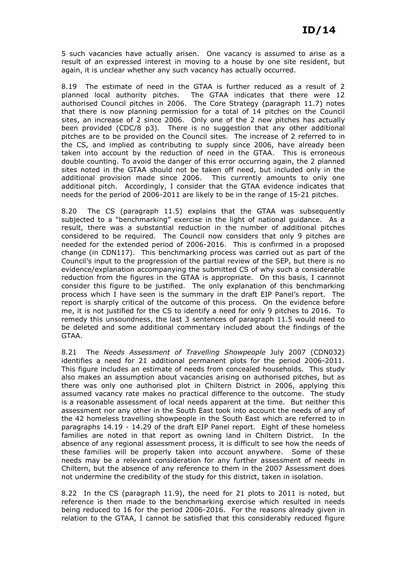5 such vacancies have actually arisen. One vacancy is assumed to arise as a result of an expressed interest in moving to a house by one site resident, but again, it is unclear whether any such vacancy has actually occurred.

8.19 The estimate of need in the GTAA is further reduced as a result of 2 planned local authority pitches. The GTAA indicates that there were 12 authorised Council pitches in 2006. The Core Strategy (paragraph 11.7) notes that there is now planning permission for a total of 14 pitches on the Council sites, an increase of 2 since 2006. Only one of the 2 new pitches has actually been provided (CDC/8 p3). There is no suggestion that any other additional pitches are to be provided on the Council sites. The increase of 2 referred to in the CS, and implied as contributing to supply since 2006, have already been taken into account by the reduction of need in the GTAA. This is erroneous double counting. To avoid the danger of this error occurring again, the 2 planned sites noted in the GTAA should not be taken off need, but included only in the additional provision made since 2006. This currently amounts to only one additional pitch. Accordingly, I consider that the GTAA evidence indicates that needs for the period of 2006-2011 are likely to be in the range of 15-21 pitches.

8.20 The CS (paragraph 11.5) explains that the GTAA was subsequently subjected to a "benchmarking" exercise in the light of national guidance. As a result, there was a substantial reduction in the number of additional pitches considered to be required. The Council now considers that only 9 pitches are needed for the extended period of 2006-2016. This is confirmed in a proposed change (in CDN117). This benchmarking process was carried out as part of the Council's input to the progression of the partial review of the SEP, but there is no evidence/explanation accompanying the submitted CS of why such a considerable reduction from the figures in the GTAA is appropriate. On this basis, I cannnot consider this figure to be justified. The only explanation of this benchmarking process which I have seen is the summary in the draft EIP Panel's report. The report is sharply critical of the outcome of this process. On the evidence before me, it is not justified for the CS to identify a need for only 9 pitches to 2016. To remedy this unsoundness, the last 3 sentences of paragraph 11.5 would need to be deleted and some additional commentary included about the findings of the GTAA.

8.21 The Needs Assessment of Travelling Showpeople July 2007 (CDN032) identifies a need for 21 additional permanent plots for the period 2006-2011. This figure includes an estimate of needs from concealed households. This study also makes an assumption about vacancies arising on authorised pitches, but as there was only one authorised plot in Chiltern District in 2006, applying this assumed vacancy rate makes no practical difference to the outcome. The study is a reasonable assessment of local needs apparent at the time. But neither this assessment nor any other in the South East took into account the needs of any of the 42 homeless travelling showpeople in the South East which are referred to in paragraphs 14.19 - 14.29 of the draft EIP Panel report. Eight of these homeless families are noted in that report as owning land in Chiltern District. In the absence of any regional assessment process, it is difficult to see how the needs of these families will be properly taken into account anywhere. Some of these needs may be a relevant consideration for any further assessment of needs in Chiltern, but the absence of any reference to them in the 2007 Assessment does not undermine the credibility of the study for this district, taken in isolation.

8.22 In the CS (paragraph 11.9), the need for 21 plots to 2011 is noted, but reference is then made to the benchmarking exercise which resulted in needs being reduced to 16 for the period 2006-2016. For the reasons already given in relation to the GTAA, I cannot be satisfied that this considerably reduced figure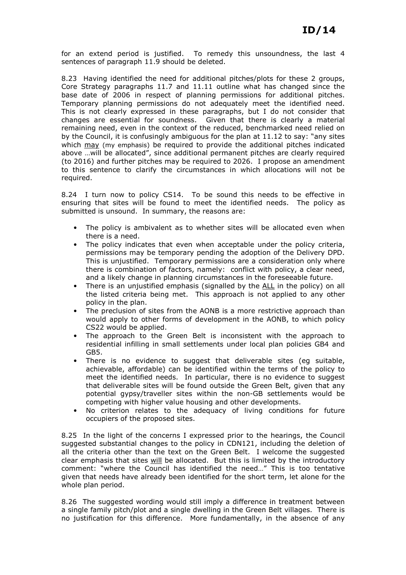for an extend period is justified. To remedy this unsoundness, the last 4 sentences of paragraph 11.9 should be deleted.

8.23 Having identified the need for additional pitches/plots for these 2 groups, Core Strategy paragraphs 11.7 and 11.11 outline what has changed since the base date of 2006 in respect of planning permissions for additional pitches. Temporary planning permissions do not adequately meet the identified need. This is not clearly expressed in these paragraphs, but I do not consider that changes are essential for soundness. Given that there is clearly a material remaining need, even in the context of the reduced, benchmarked need relied on by the Council, it is confusingly ambiguous for the plan at 11.12 to say: "any sites which may (my emphasis) be required to provide the additional pitches indicated above …will be allocated", since additional permanent pitches are clearly required (to 2016) and further pitches may be required to 2026. I propose an amendment to this sentence to clarify the circumstances in which allocations will not be required.

8.24 I turn now to policy CS14. To be sound this needs to be effective in ensuring that sites will be found to meet the identified needs. The policy as submitted is unsound. In summary, the reasons are:

- The policy is ambivalent as to whether sites will be allocated even when there is a need.
- The policy indicates that even when acceptable under the policy criteria, permissions may be temporary pending the adoption of the Delivery DPD. This is unjustified. Temporary permissions are a consideration only where there is combination of factors, namely: conflict with policy, a clear need, and a likely change in planning circumstances in the foreseeable future.
- There is an unjustified emphasis (signalled by the ALL in the policy) on all the listed criteria being met. This approach is not applied to any other policy in the plan.
- The preclusion of sites from the AONB is a more restrictive approach than would apply to other forms of development in the AONB, to which policy CS22 would be applied.
- The approach to the Green Belt is inconsistent with the approach to residential infilling in small settlements under local plan policies GB4 and GB5.
- There is no evidence to suggest that deliverable sites (eg suitable, achievable, affordable) can be identified within the terms of the policy to meet the identified needs. In particular, there is no evidence to suggest that deliverable sites will be found outside the Green Belt, given that any potential gypsy/traveller sites within the non-GB settlements would be competing with higher value housing and other developments.
- No criterion relates to the adequacy of living conditions for future occupiers of the proposed sites.

8.25 In the light of the concerns I expressed prior to the hearings, the Council suggested substantial changes to the policy in CDN121, including the deletion of all the criteria other than the text on the Green Belt. I welcome the suggested clear emphasis that sites will be allocated. But this is limited by the introductory comment: "where the Council has identified the need…" This is too tentative given that needs have already been identified for the short term, let alone for the whole plan period.

8.26 The suggested wording would still imply a difference in treatment between a single family pitch/plot and a single dwelling in the Green Belt villages. There is no justification for this difference. More fundamentally, in the absence of any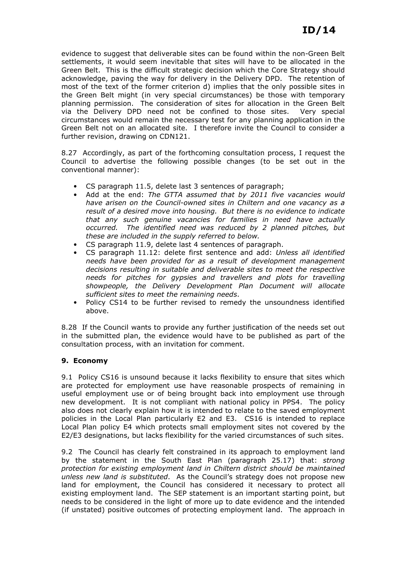evidence to suggest that deliverable sites can be found within the non-Green Belt settlements, it would seem inevitable that sites will have to be allocated in the Green Belt. This is the difficult strategic decision which the Core Strategy should acknowledge, paving the way for delivery in the Delivery DPD. The retention of most of the text of the former criterion d) implies that the only possible sites in the Green Belt might (in very special circumstances) be those with temporary planning permission. The consideration of sites for allocation in the Green Belt via the Delivery DPD need not be confined to those sites. Very special circumstances would remain the necessary test for any planning application in the Green Belt not on an allocated site. I therefore invite the Council to consider a further revision, drawing on CDN121.

8.27 Accordingly, as part of the forthcoming consultation process, I request the Council to advertise the following possible changes (to be set out in the conventional manner):

- CS paragraph 11.5, delete last 3 sentences of paragraph;
- Add at the end: The GTTA assumed that by 2011 five vacancies would have arisen on the Council-owned sites in Chiltern and one vacancy as a result of a desired move into housing. But there is no evidence to indicate that any such genuine vacancies for families in need have actually occurred. The identified need was reduced by 2 planned pitches, but these are included in the supply referred to below.
- CS paragraph 11.9, delete last 4 sentences of paragraph.
- CS paragraph 11.12: delete first sentence and add: Unless all identified needs have been provided for as a result of development management decisions resulting in suitable and deliverable sites to meet the respective needs for pitches for gypsies and travellers and plots for travelling showpeople, the Delivery Development Plan Document will allocate sufficient sites to meet the remaining needs.
- Policy CS14 to be further revised to remedy the unsoundness identified above.

8.28 If the Council wants to provide any further justification of the needs set out in the submitted plan, the evidence would have to be published as part of the consultation process, with an invitation for comment.

# 9. Economy

9.1 Policy CS16 is unsound because it lacks flexibility to ensure that sites which are protected for employment use have reasonable prospects of remaining in useful employment use or of being brought back into employment use through new development. It is not compliant with national policy in PPS4. The policy also does not clearly explain how it is intended to relate to the saved employment policies in the Local Plan particularly E2 and E3. CS16 is intended to replace Local Plan policy E4 which protects small employment sites not covered by the E2/E3 designations, but lacks flexibility for the varied circumstances of such sites.

9.2 The Council has clearly felt constrained in its approach to employment land by the statement in the South East Plan (paragraph 25.17) that: strong protection for existing employment land in Chiltern district should be maintained unless new land is substituted. As the Council's strategy does not propose new land for employment, the Council has considered it necessary to protect all existing employment land. The SEP statement is an important starting point, but needs to be considered in the light of more up to date evidence and the intended (if unstated) positive outcomes of protecting employment land. The approach in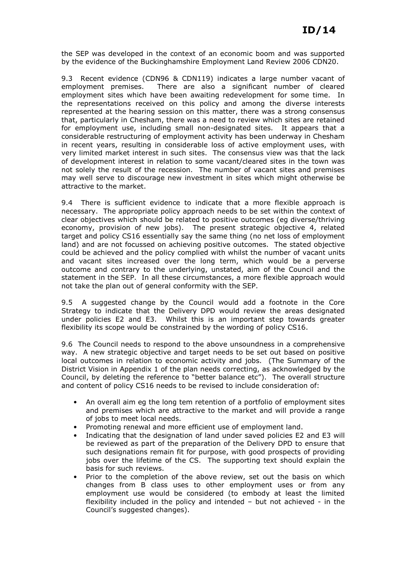the SEP was developed in the context of an economic boom and was supported by the evidence of the Buckinghamshire Employment Land Review 2006 CDN20.

9.3 Recent evidence (CDN96 & CDN119) indicates a large number vacant of employment premises. There are also a significant number of cleared employment sites which have been awaiting redevelopment for some time. In the representations received on this policy and among the diverse interests represented at the hearing session on this matter, there was a strong consensus that, particularly in Chesham, there was a need to review which sites are retained for employment use, including small non-designated sites. It appears that a considerable restructuring of employment activity has been underway in Chesham in recent years, resulting in considerable loss of active employment uses, with very limited market interest in such sites. The consensus view was that the lack of development interest in relation to some vacant/cleared sites in the town was not solely the result of the recession. The number of vacant sites and premises may well serve to discourage new investment in sites which might otherwise be attractive to the market.

9.4 There is sufficient evidence to indicate that a more flexible approach is necessary. The appropriate policy approach needs to be set within the context of clear objectives which should be related to positive outcomes (eg diverse/thriving economy, provision of new jobs). The present strategic objective 4, related target and policy CS16 essentially say the same thing (no net loss of employment land) and are not focussed on achieving positive outcomes. The stated objective could be achieved and the policy complied with whilst the number of vacant units and vacant sites increased over the long term, which would be a perverse outcome and contrary to the underlying, unstated, aim of the Council and the statement in the SEP. In all these circumstances, a more flexible approach would not take the plan out of general conformity with the SEP.

9.5 A suggested change by the Council would add a footnote in the Core Strategy to indicate that the Delivery DPD would review the areas designated under policies E2 and E3. Whilst this is an important step towards greater flexibility its scope would be constrained by the wording of policy CS16.

9.6 The Council needs to respond to the above unsoundness in a comprehensive way. A new strategic objective and target needs to be set out based on positive local outcomes in relation to economic activity and jobs. (The Summary of the District Vision in Appendix 1 of the plan needs correcting, as acknowledged by the Council, by deleting the reference to "better balance etc"). The overall structure and content of policy CS16 needs to be revised to include consideration of:

- An overall aim eg the long tem retention of a portfolio of employment sites and premises which are attractive to the market and will provide a range of jobs to meet local needs.
- Promoting renewal and more efficient use of employment land.
- Indicating that the designation of land under saved policies E2 and E3 will be reviewed as part of the preparation of the Delivery DPD to ensure that such designations remain fit for purpose, with good prospects of providing jobs over the lifetime of the CS. The supporting text should explain the basis for such reviews.
- Prior to the completion of the above review, set out the basis on which changes from B class uses to other employment uses or from any employment use would be considered (to embody at least the limited flexibility included in the policy and intended – but not achieved - in the Council's suggested changes).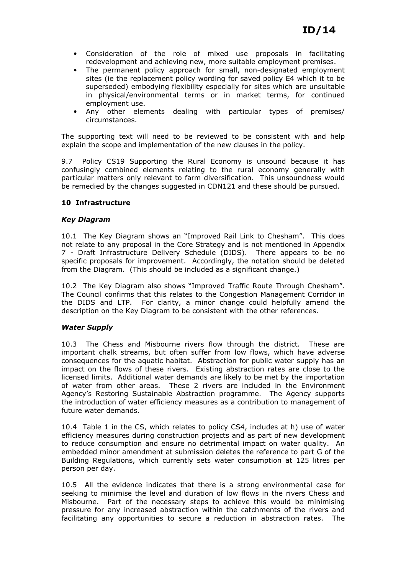- Consideration of the role of mixed use proposals in facilitating redevelopment and achieving new, more suitable employment premises.
- The permanent policy approach for small, non-designated employment sites (ie the replacement policy wording for saved policy E4 which it to be superseded) embodying flexibility especially for sites which are unsuitable in physical/environmental terms or in market terms, for continued employment use.
- Any other elements dealing with particular types of premises/ circumstances.

The supporting text will need to be reviewed to be consistent with and help explain the scope and implementation of the new clauses in the policy.

9.7 Policy CS19 Supporting the Rural Economy is unsound because it has confusingly combined elements relating to the rural economy generally with particular matters only relevant to farm diversification. This unsoundness would be remedied by the changes suggested in CDN121 and these should be pursued.

# 10 Infrastructure

# Key Diagram

10.1 The Key Diagram shows an "Improved Rail Link to Chesham". This does not relate to any proposal in the Core Strategy and is not mentioned in Appendix 7 - Draft Infrastructure Delivery Schedule (DIDS). There appears to be no specific proposals for improvement. Accordingly, the notation should be deleted from the Diagram. (This should be included as a significant change.)

10.2 The Key Diagram also shows "Improved Traffic Route Through Chesham". The Council confirms that this relates to the Congestion Management Corridor in the DIDS and LTP. For clarity, a minor change could helpfully amend the description on the Key Diagram to be consistent with the other references.

# Water Supply

10.3 The Chess and Misbourne rivers flow through the district. These are important chalk streams, but often suffer from low flows, which have adverse consequences for the aquatic habitat. Abstraction for public water supply has an impact on the flows of these rivers. Existing abstraction rates are close to the licensed limits. Additional water demands are likely to be met by the importation of water from other areas. These 2 rivers are included in the Environment Agency's Restoring Sustainable Abstraction programme. The Agency supports the introduction of water efficiency measures as a contribution to management of future water demands.

10.4 Table 1 in the CS, which relates to policy CS4, includes at h) use of water efficiency measures during construction projects and as part of new development to reduce consumption and ensure no detrimental impact on water quality. An embedded minor amendment at submission deletes the reference to part G of the Building Regulations, which currently sets water consumption at 125 litres per person per day.

10.5 All the evidence indicates that there is a strong environmental case for seeking to minimise the level and duration of low flows in the rivers Chess and Misbourne. Part of the necessary steps to achieve this would be minimising pressure for any increased abstraction within the catchments of the rivers and facilitating any opportunities to secure a reduction in abstraction rates. The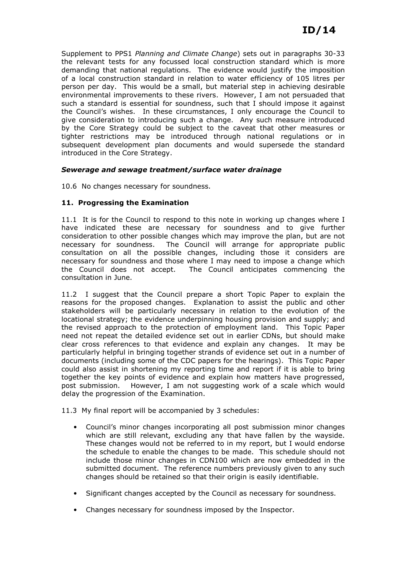Supplement to PPS1 Planning and Climate Change) sets out in paragraphs 30-33 the relevant tests for any focussed local construction standard which is more demanding that national regulations. The evidence would justify the imposition of a local construction standard in relation to water efficiency of 105 litres per person per day. This would be a small, but material step in achieving desirable environmental improvements to these rivers. However, I am not persuaded that such a standard is essential for soundness, such that I should impose it against the Council's wishes. In these circumstances, I only encourage the Council to give consideration to introducing such a change. Any such measure introduced by the Core Strategy could be subject to the caveat that other measures or tighter restrictions may be introduced through national regulations or in subsequent development plan documents and would supersede the standard introduced in the Core Strategy.

### Sewerage and sewage treatment/surface water drainage

10.6 No changes necessary for soundness.

### 11. Progressing the Examination

11.1 It is for the Council to respond to this note in working up changes where I have indicated these are necessary for soundness and to give further consideration to other possible changes which may improve the plan, but are not necessary for soundness. The Council will arrange for appropriate public consultation on all the possible changes, including those it considers are necessary for soundness and those where I may need to impose a change which the Council does not accept. The Council anticipates commencing the consultation in June.

11.2 I suggest that the Council prepare a short Topic Paper to explain the reasons for the proposed changes. Explanation to assist the public and other stakeholders will be particularly necessary in relation to the evolution of the locational strategy; the evidence underpinning housing provision and supply; and the revised approach to the protection of employment land. This Topic Paper need not repeat the detailed evidence set out in earlier CDNs, but should make clear cross references to that evidence and explain any changes. It may be particularly helpful in bringing together strands of evidence set out in a number of documents (including some of the CDC papers for the hearings). This Topic Paper could also assist in shortening my reporting time and report if it is able to bring together the key points of evidence and explain how matters have progressed, post submission. However, I am not suggesting work of a scale which would delay the progression of the Examination.

11.3 My final report will be accompanied by 3 schedules:

- Council's minor changes incorporating all post submission minor changes which are still relevant, excluding any that have fallen by the wayside. These changes would not be referred to in my report, but I would endorse the schedule to enable the changes to be made. This schedule should not include those minor changes in CDN100 which are now embedded in the submitted document. The reference numbers previously given to any such changes should be retained so that their origin is easily identifiable.
- Significant changes accepted by the Council as necessary for soundness.
- Changes necessary for soundness imposed by the Inspector.